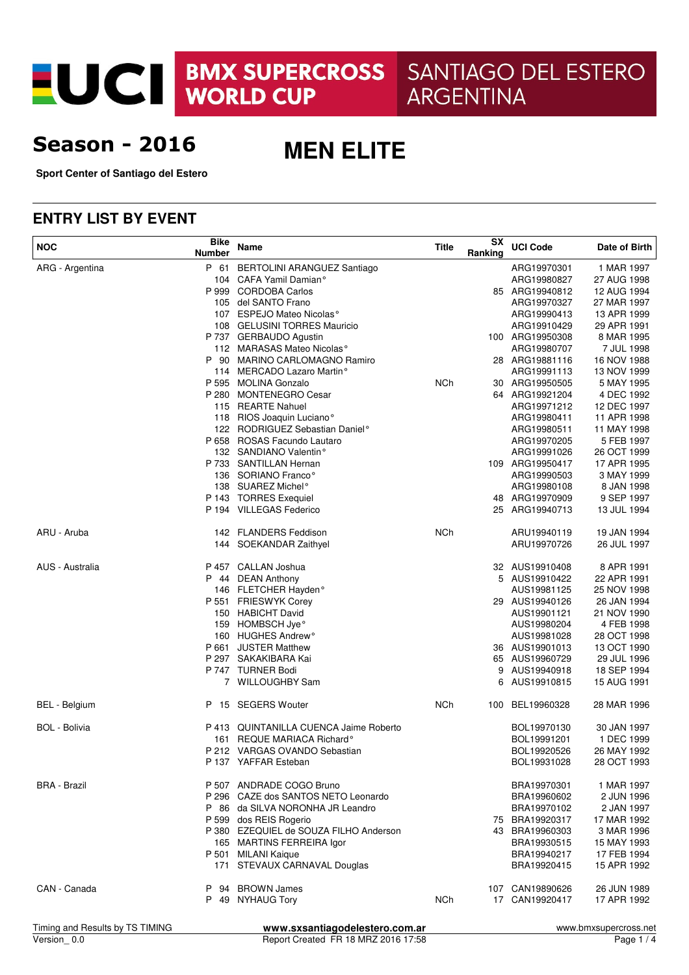EUCI BMX SUPERCROSS

SANTIAGO DEL ESTERO **ARGENTINA** 

# **Season - 2016**

**MEN ELITE**

**Sport Center of Santiago del Estero**

### **ENTRY LIST BY EVENT**

| <b>NOC</b>           | <b>Bike</b><br><b>Number</b> | Name                                   | <b>Title</b> | SX<br>Ranking | <b>UCI Code</b> | Date of Birth |
|----------------------|------------------------------|----------------------------------------|--------------|---------------|-----------------|---------------|
| ARG - Argentina      | P 61                         | <b>BERTOLINI ARANGUEZ Santiago</b>     |              |               | ARG19970301     | 1 MAR 1997    |
|                      |                              | 104 CAFA Yamil Damian°                 |              |               | ARG19980827     | 27 AUG 1998   |
|                      |                              | P 999 CORDOBA Carlos                   |              |               | 85 ARG19940812  | 12 AUG 1994   |
|                      |                              | 105 del SANTO Frano                    |              |               | ARG19970327     | 27 MAR 1997   |
|                      |                              | 107 ESPEJO Mateo Nicolas <sup>°</sup>  |              |               | ARG19990413     | 13 APR 1999   |
|                      |                              | 108 GELUSINI TORRES Mauricio           |              |               | ARG19910429     | 29 APR 1991   |
|                      |                              | P 737 GERBAUDO Agustin                 |              |               | 100 ARG19950308 | 8 MAR 1995    |
|                      |                              | 112 MARASAS Mateo Nicolas <sup>°</sup> |              |               | ARG19980707     | 7 JUL 1998    |
|                      |                              | P 90 MARINO CARLOMAGNO Ramiro          |              |               | 28 ARG19881116  | 16 NOV 1988   |
|                      |                              | 114 MERCADO Lazaro Martin°             |              |               | ARG19991113     | 13 NOV 1999   |
|                      |                              | P 595 MOLINA Gonzalo                   | <b>NCh</b>   |               | 30 ARG19950505  | 5 MAY 1995    |
|                      |                              | P 280 MONTENEGRO Cesar                 |              |               | 64 ARG19921204  | 4 DEC 1992    |
|                      |                              | 115 REARTE Nahuel                      |              |               | ARG19971212     | 12 DEC 1997   |
|                      |                              | 118 RIOS Joaquin Luciano°              |              |               | ARG19980411     | 11 APR 1998   |
|                      |                              | 122 RODRIGUEZ Sebastian Daniel°        |              |               | ARG19980511     | 11 MAY 1998   |
|                      |                              | P 658 ROSAS Facundo Lautaro            |              |               | ARG19970205     | 5 FEB 1997    |
|                      |                              | 132 SANDIANO Valentin°                 |              |               | ARG19991026     | 26 OCT 1999   |
|                      |                              | P 733 SANTILLAN Hernan                 |              |               | 109 ARG19950417 | 17 APR 1995   |
|                      |                              | 136 SORIANO Franco°                    |              |               | ARG19990503     | 3 MAY 1999    |
|                      |                              | 138 SUAREZ Michel <sup>o</sup>         |              |               | ARG19980108     | 8 JAN 1998    |
|                      |                              | P 143 TORRES Exequiel                  |              |               | 48 ARG19970909  | 9 SEP 1997    |
|                      |                              | P 194 VILLEGAS Federico                |              |               | 25 ARG19940713  | 13 JUL 1994   |
| ARU - Aruba          |                              | 142 FLANDERS Feddison                  | NCh          |               | ARU19940119     | 19 JAN 1994   |
|                      |                              | 144 SOEKANDAR Zaithyel                 |              |               | ARU19970726     | 26 JUL 1997   |
| AUS - Australia      |                              | P 457 CALLAN Joshua                    |              |               | 32 AUS19910408  | 8 APR 1991    |
|                      |                              | P 44 DEAN Anthony                      |              |               | 5 AUS19910422   | 22 APR 1991   |
|                      |                              | 146 FLETCHER Hayden°                   |              |               | AUS19981125     | 25 NOV 1998   |
|                      |                              | P 551 FRIESWYK Corey                   |              |               | 29 AUS19940126  | 26 JAN 1994   |
|                      |                              | 150 HABICHT David                      |              |               | AUS19901121     | 21 NOV 1990   |
|                      |                              | 159 HOMBSCH Jye <sup>o</sup>           |              |               | AUS19980204     | 4 FEB 1998    |
|                      |                              | 160 HUGHES Andrew <sup>o</sup>         |              |               | AUS19981028     | 28 OCT 1998   |
|                      |                              | P 661 JUSTER Matthew                   |              |               | 36 AUS19901013  | 13 OCT 1990   |
|                      |                              | P 297 SAKAKIBARA Kai                   |              |               | 65 AUS19960729  | 29 JUL 1996   |
|                      |                              | P 747 TURNER Bodi                      |              | 9             | AUS19940918     | 18 SEP 1994   |
|                      |                              | 7 WILLOUGHBY Sam                       |              | 6             | AUS19910815     | 15 AUG 1991   |
| BEL - Belgium        |                              | P 15 SEGERS Wouter                     | <b>NCh</b>   |               | 100 BEL19960328 | 28 MAR 1996   |
| <b>BOL</b> - Bolivia |                              | P 413 QUINTANILLA CUENCA Jaime Roberto |              |               | BOL19970130     | 30 JAN 1997   |
|                      |                              | 161 REQUE MARIACA Richard <sup>o</sup> |              |               | BOL19991201     | 1 DEC 1999    |
|                      |                              | P 212 VARGAS OVANDO Sebastian          |              |               | BOL19920526     | 26 MAY 1992   |
|                      |                              | P 137 YAFFAR Esteban                   |              |               | BOL19931028     | 28 OCT 1993   |
| <b>BRA - Brazil</b>  |                              | P 507 ANDRADE COGO Bruno               |              |               | BRA19970301     | 1 MAR 1997    |
|                      |                              | P 296 CAZE dos SANTOS NETO Leonardo    |              |               | BRA19960602     | 2 JUN 1996    |
|                      |                              | P 86 da SILVA NORONHA JR Leandro       |              |               | BRA19970102     | 2 JAN 1997    |
|                      |                              | P 599 dos REIS Rogerio                 |              |               | 75 BRA19920317  | 17 MAR 1992   |
|                      |                              | P 380 EZEQUIEL de SOUZA FILHO Anderson |              |               | 43 BRA19960303  | 3 MAR 1996    |
|                      |                              | 165 MARTINS FERREIRA Igor              |              |               | BRA19930515     | 15 MAY 1993   |
|                      |                              | P 501 MILANI Kaique                    |              |               | BRA19940217     | 17 FEB 1994   |
|                      |                              | 171 STEVAUX CARNAVAL Douglas           |              |               | BRA19920415     | 15 APR 1992   |
| CAN - Canada         |                              | P 94 BROWN James                       |              |               | 107 CAN19890626 | 26 JUN 1989   |
|                      |                              | P 49 NYHAUG Tory                       | NCh          |               | 17 CAN19920417  | 17 APR 1992   |
|                      |                              |                                        |              |               |                 |               |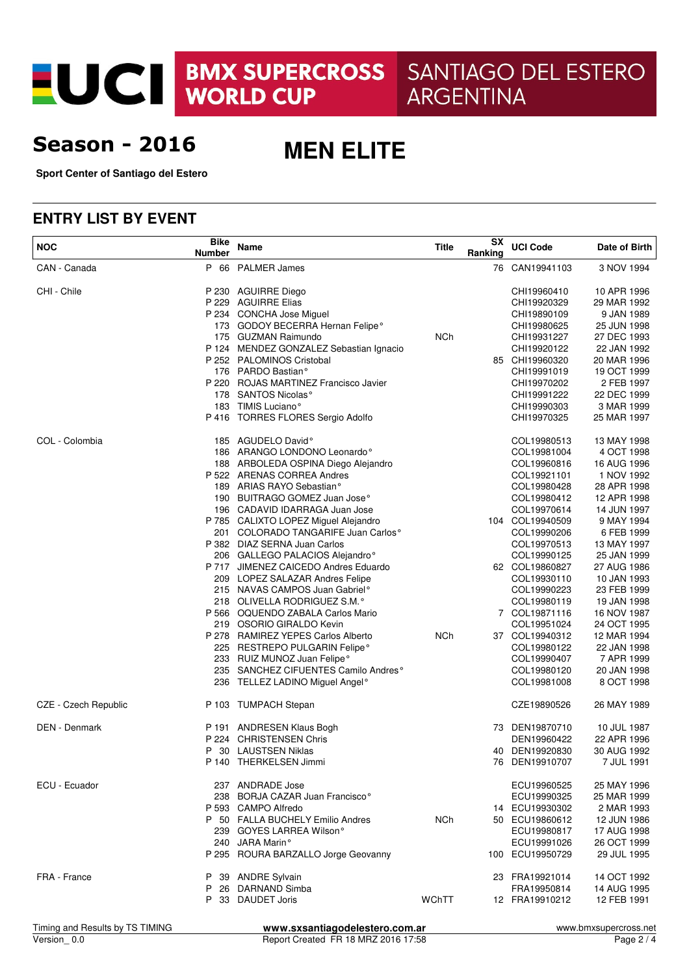EUCI BMX SUPERCROSS

SANTIAGO DEL ESTERO **ARGENTINA** 

## **Season - 2016**

**MEN ELITE**

**Sport Center of Santiago del Estero**

#### **ENTRY LIST BY EVENT**

| <b>NOC</b>           | <b>Bike</b><br><b>Number</b> | Name                                            | Title      | SX<br>Ranking | <b>UCI Code</b> | Date of Birth |
|----------------------|------------------------------|-------------------------------------------------|------------|---------------|-----------------|---------------|
| CAN - Canada         |                              | P 66 PALMER James                               |            |               | 76 CAN19941103  | 3 NOV 1994    |
| CHI - Chile          |                              | P 230 AGUIRRE Diego                             |            |               | CHI19960410     | 10 APR 1996   |
|                      |                              | P 229 AGUIRRE Elias                             |            |               | CHI19920329     | 29 MAR 1992   |
|                      |                              | P 234 CONCHA Jose Miguel                        |            |               | CHI19890109     | 9 JAN 1989    |
|                      |                              | 173 GODOY BECERRA Hernan Felipe <sup>o</sup>    |            |               | CHI19980625     | 25 JUN 1998   |
|                      |                              | 175 GUZMAN Raimundo                             | <b>NCh</b> |               | CHI19931227     | 27 DEC 1993   |
|                      |                              | P 124 MENDEZ GONZALEZ Sebastian Ignacio         |            |               | CHI19920122     | 22 JAN 1992   |
|                      |                              | P 252 PALOMINOS Cristobal                       |            |               | 85 CHI19960320  | 20 MAR 1996   |
|                      |                              | 176 PARDO Bastian <sup>°</sup>                  |            |               | CHI19991019     | 19 OCT 1999   |
|                      |                              | P 220 ROJAS MARTINEZ Francisco Javier           |            |               | CHI19970202     | 2 FEB 1997    |
|                      |                              | 178 SANTOS Nicolas <sup>°</sup>                 |            |               | CHI19991222     | 22 DEC 1999   |
|                      |                              | 183 TIMIS Luciano <sup>°</sup>                  |            |               | CHI19990303     | 3 MAR 1999    |
|                      |                              | P 416 TORRES FLORES Sergio Adolfo               |            |               | CHI19970325     | 25 MAR 1997   |
| COL - Colombia       |                              | 185 AGUDELO David°                              |            |               | COL19980513     | 13 MAY 1998   |
|                      |                              | 186 ARANGO LONDONO Leonardo <sup>o</sup>        |            |               | COL19981004     | 4 OCT 1998    |
|                      |                              | 188 ARBOLEDA OSPINA Diego Alejandro             |            |               | COL19960816     | 16 AUG 1996   |
|                      |                              | P 522 ARENAS CORREA Andres                      |            |               | COL19921101     | 1 NOV 1992    |
|                      |                              | 189 ARIAS RAYO Sebastian <sup>o</sup>           |            |               | COL19980428     | 28 APR 1998   |
|                      |                              | 190 BUITRAGO GOMEZ Juan Jose <sup>o</sup>       |            |               | COL19980412     | 12 APR 1998   |
|                      |                              | 196 CADAVID IDARRAGA Juan Jose                  |            |               | COL19970614     | 14 JUN 1997   |
|                      |                              | P 785 CALIXTO LOPEZ Miguel Alejandro            |            |               | 104 COL19940509 | 9 MAY 1994    |
|                      |                              | 201 COLORADO TANGARIFE Juan Carlos <sup>°</sup> |            |               | COL19990206     | 6 FEB 1999    |
|                      |                              | P 382 DIAZ SERNA Juan Carlos                    |            |               | COL19970513     | 13 MAY 1997   |
|                      |                              | 206 GALLEGO PALACIOS Alejandro°                 |            |               | COL19990125     | 25 JAN 1999   |
|                      |                              | P 717 JIMENEZ CAICEDO Andres Eduardo            |            |               | 62 COL19860827  | 27 AUG 1986   |
|                      |                              | 209 LOPEZ SALAZAR Andres Felipe                 |            |               | COL19930110     | 10 JAN 1993   |
|                      |                              | 215 NAVAS CAMPOS Juan Gabriel <sup>o</sup>      |            |               | COL19990223     | 23 FEB 1999   |
|                      |                              | 218 OLIVELLA RODRIGUEZ S.M.º                    |            |               | COL19980119     | 19 JAN 1998   |
|                      |                              | P 566 OQUENDO ZABALA Carlos Mario               |            |               | 7 COL19871116   | 16 NOV 1987   |
|                      |                              | 219 OSORIO GIRALDO Kevin                        |            |               | COL19951024     | 24 OCT 1995   |
|                      |                              | P 278 RAMIREZ YEPES Carlos Alberto              | <b>NCh</b> |               | 37 COL19940312  | 12 MAR 1994   |
|                      |                              | 225 RESTREPO PULGARIN Felipe°                   |            |               | COL19980122     | 22 JAN 1998   |
|                      |                              | 233 RUIZ MUNOZ Juan Felipe°                     |            |               | COL19990407     | 7 APR 1999    |
|                      |                              | 235 SANCHEZ CIFUENTES Camilo Andres°            |            |               | COL19980120     | 20 JAN 1998   |
|                      |                              | 236 TELLEZ LADINO Miguel Angel <sup>o</sup>     |            |               | COL19981008     | 8 OCT 1998    |
| CZE - Czech Republic |                              | P 103 TUMPACH Stepan                            |            |               | CZE19890526     | 26 MAY 1989   |
| <b>DEN</b> - Denmark |                              | P 191 ANDRESEN Klaus Bogh                       |            |               | 73 DEN19870710  | 10 JUL 1987   |
|                      |                              | P 224 CHRISTENSEN Chris                         |            |               | DEN19960422     | 22 APR 1996   |
|                      |                              | P 30 LAUSTSEN Niklas                            |            |               | 40 DEN19920830  | 30 AUG 1992   |
|                      |                              | P 140 THERKELSEN Jimmi                          |            |               | 76 DEN19910707  | 7 JUL 1991    |
| ECU - Ecuador        |                              | 237 ANDRADE Jose                                |            |               | ECU19960525     | 25 MAY 1996   |
|                      |                              | 238 BORJA CAZAR Juan Francisco°                 |            |               | ECU19990325     | 25 MAR 1999   |
|                      |                              | P 593 CAMPO Alfredo                             |            |               | 14 ECU19930302  | 2 MAR 1993    |
|                      |                              | P 50 FALLA BUCHELY Emilio Andres                | <b>NCh</b> |               | 50 ECU19860612  | 12 JUN 1986   |
|                      |                              | 239 GOYES LARREA Wilson°                        |            |               | ECU19980817     | 17 AUG 1998   |
|                      |                              | 240 JARA Marin°                                 |            |               | ECU19991026     | 26 OCT 1999   |
|                      |                              | P 295 ROURA BARZALLO Jorge Geovanny             |            |               | 100 ECU19950729 | 29 JUL 1995   |
| FRA - France         |                              | P 39 ANDRE Sylvain                              |            |               | 23 FRA19921014  | 14 OCT 1992   |
|                      | P.                           | 26 DARNAND Simba                                |            |               | FRA19950814     | 14 AUG 1995   |
|                      |                              | P 33 DAUDET Joris                               | WChTT      |               | 12 FRA19910212  | 12 FEB 1991   |
|                      |                              |                                                 |            |               |                 |               |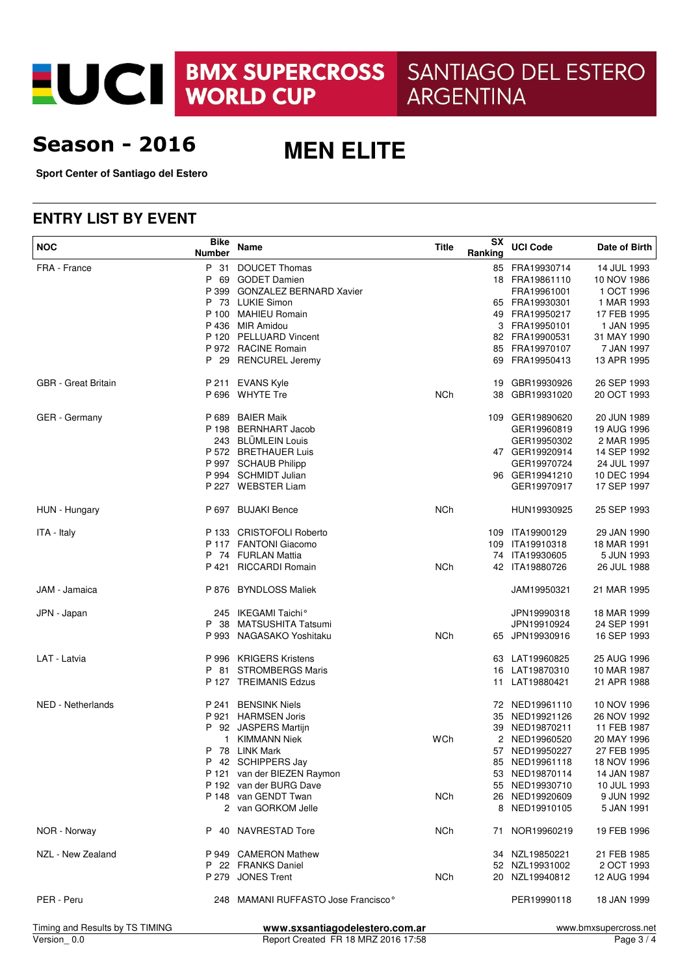EUCI BMX SUPERCROSS

SANTIAGO DEL ESTERO **ARGENTINA** 

## **Season - 2016**

**MEN ELITE**

**Sport Center of Santiago del Estero**

### **ENTRY LIST BY EVENT**

| <b>NOC</b>                      | <b>Bike</b><br><b>Number</b> | Name                                            | <b>Title</b> | SX<br>Ranking  | <b>UCI Code</b> | Date of Birth            |
|---------------------------------|------------------------------|-------------------------------------------------|--------------|----------------|-----------------|--------------------------|
| FRA - France                    | P 31                         | <b>DOUCET Thomas</b>                            |              |                | 85 FRA19930714  | 14 JUL 1993              |
|                                 | P                            | 69 GODET Damien                                 |              |                | 18 FRA19861110  | 10 NOV 1986              |
|                                 | P 399                        | <b>GONZALEZ BERNARD Xavier</b>                  |              |                | FRA19961001     | 1 OCT 1996               |
|                                 |                              | P 73 LUKIE Simon                                |              |                | 65 FRA19930301  | 1 MAR 1993               |
|                                 |                              | P 100 MAHIEU Romain                             |              |                | 49 FRA19950217  | 17 FEB 1995              |
|                                 |                              | P 436 MIR Amidou                                |              | 3              | FRA19950101     | 1 JAN 1995               |
|                                 |                              | P 120 PELLUARD Vincent                          |              |                | 82 FRA19900531  | 31 MAY 1990              |
|                                 |                              | P 972 RACINE Romain                             |              |                | 85 FRA19970107  | 7 JAN 1997               |
|                                 |                              | P 29 RENCUREL Jeremy                            |              |                | 69 FRA19950413  | 13 APR 1995              |
| <b>GBR</b> - Great Britain      |                              | P 211 EVANS Kyle                                |              | 19             | GBR19930926     | 26 SEP 1993              |
|                                 |                              | P 696 WHYTE Tre                                 | <b>NCh</b>   | 38             | GBR19931020     | 20 OCT 1993              |
|                                 |                              |                                                 |              |                |                 |                          |
| GER - Germany                   |                              | P 689 BAIER Maik                                |              |                | 109 GER19890620 | 20 JUN 1989              |
|                                 |                              | P 198 BERNHART Jacob                            |              |                | GER19960819     | 19 AUG 1996              |
|                                 |                              | 243 BLÜMLEIN Louis                              |              |                | GER19950302     | 2 MAR 1995               |
|                                 |                              | P 572 BRETHAUER Luis                            |              |                | 47 GER19920914  | 14 SEP 1992              |
|                                 |                              | P 997 SCHAUB Philipp                            |              |                | GER19970724     | 24 JUL 1997              |
|                                 |                              | P 994 SCHMIDT Julian                            |              |                | 96 GER19941210  | 10 DEC 1994              |
|                                 |                              | P 227 WEBSTER Liam                              |              |                | GER19970917     | 17 SEP 1997              |
|                                 |                              |                                                 |              |                |                 |                          |
| HUN - Hungary                   |                              | P 697 BUJAKI Bence                              | <b>NCh</b>   |                | HUN19930925     | 25 SEP 1993              |
| ITA - Italy                     |                              | P 133 CRISTOFOLI Roberto                        |              |                | 109 ITA19900129 | 29 JAN 1990              |
|                                 |                              | P 117 FANTONI Giacomo                           |              |                | 109 ITA19910318 | 18 MAR 1991              |
|                                 |                              | P 74 FURLAN Mattia                              |              |                | 74 ITA19930605  | 5 JUN 1993               |
|                                 |                              | P 421 RICCARDI Romain                           | <b>NCh</b>   |                | 42 ITA19880726  | 26 JUL 1988              |
| JAM - Jamaica                   | P 876                        | <b>BYNDLOSS Maliek</b>                          |              |                | JAM19950321     | 21 MAR 1995              |
|                                 |                              |                                                 |              |                |                 |                          |
| JPN - Japan                     |                              | 245 IKEGAMI Taichi°                             |              |                | JPN19990318     | 18 MAR 1999              |
|                                 |                              | P 38 MATSUSHITA Tatsumi                         |              |                | JPN19910924     | 24 SEP 1991              |
|                                 |                              | P 993 NAGASAKO Yoshitaku                        | NCh          |                | 65 JPN19930916  | 16 SEP 1993              |
| LAT - Latvia                    |                              | P 996 KRIGERS Kristens                          |              |                | 63 LAT19960825  | 25 AUG 1996              |
|                                 |                              | P 81 STROMBERGS Maris                           |              |                | 16 LAT19870310  | 10 MAR 1987              |
|                                 |                              | P 127 TREIMANIS Edzus                           |              | 11             | LAT19880421     | 21 APR 1988              |
| NED - Netherlands               | P 241                        | <b>BENSINK Niels</b>                            |              |                | 72 NED19961110  | 10 NOV 1996              |
|                                 |                              | P 921 HARMSEN Joris                             |              | 35             | NED19921126     | 26 NOV 1992              |
|                                 |                              | P 92 JASPERS Martijn                            |              |                | 39 NED19870211  | 11 FEB 1987              |
|                                 | $\mathbf{1}$                 | <b>KIMMANN Niek</b>                             | WCh          | $\overline{2}$ | NED19960520     | 20 MAY 1996              |
|                                 |                              | P 78 LINK Mark                                  |              |                | 57 NED19950227  | 27 FEB 1995              |
|                                 |                              | P 42 SCHIPPERS Jay                              |              |                | 85 NED19961118  | 18 NOV 1996              |
|                                 |                              | P 121 van der BIEZEN Raymon                     |              |                | 53 NED19870114  | 14 JAN 1987              |
|                                 |                              | P 192 van der BURG Dave                         |              |                | 55 NED19930710  | 10 JUL 1993              |
|                                 |                              | P 148 van GENDT Twan                            |              |                | 26 NED19920609  |                          |
|                                 |                              | 2 van GORKOM Jelle                              | <b>NCh</b>   |                | 8 NED19910105   | 9 JUN 1992<br>5 JAN 1991 |
| NOR - Norway                    |                              | P 40 NAVRESTAD Tore                             | NCh          |                | 71 NOR19960219  | 19 FEB 1996              |
|                                 |                              |                                                 |              |                |                 |                          |
| NZL - New Zealand               |                              | P 949 CAMERON Mathew                            |              |                | 34 NZL19850221  | 21 FEB 1985              |
|                                 |                              | P 22 FRANKS Daniel                              |              |                | 52 NZL19931002  | 2 OCT 1993               |
|                                 |                              | P 279 JONES Trent                               | NCh          |                | 20 NZL19940812  | 12 AUG 1994              |
| PER - Peru                      |                              | 248 MAMANI RUFFASTO Jose Francisco <sup>®</sup> |              |                | PER19990118     | 18 JAN 1999              |
| Timing and Results by TS TIMING |                              | www.sxsantiagodelestero.com.ar                  |              |                |                 | www.bmxsupercross.net    |